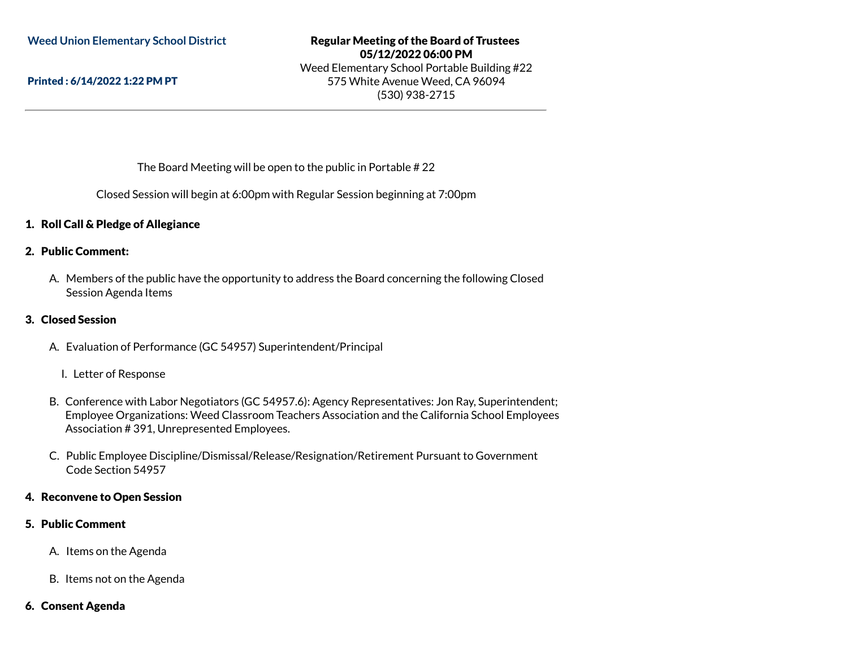Printed : 6/14/2022 1:22 PM PT

# Regular Meeting of the Board of Trustees 05/12/2022 06:00 PM Weed Elementary School Portable Building #22 575 White Avenue Weed, CA 96094 (530) 938-2715

The Board Meeting will be open to the public in Portable # 22

Closed Session will begin at 6:00pm with Regular Session beginning at 7:00pm

# 1. Roll Call & Pledge of Allegiance

#### 2. Public Comment:

A. Members of the public have the opportunity to address the Board concerning the following Closed Session Agenda Items

### 3. Closed Session

A. Evaluation of Performance (GC 54957) Superintendent/Principal

#### I. Letter of Response

- B. Conference with Labor Negotiators (GC 54957.6): Agency Representatives: Jon Ray, Superintendent; Employee Organizations: Weed Classroom Teachers Association and the California School Employees Association # 391, Unrepresented Employees.
- C. Public Employee Discipline/Dismissal/Release/Resignation/Retirement Pursuant to Government Code Section 54957

### 4. Reconvene to Open Session

#### 5. Public Comment

- A. Items on the Agenda
- B. Items not on the Agenda

#### 6. Consent Agenda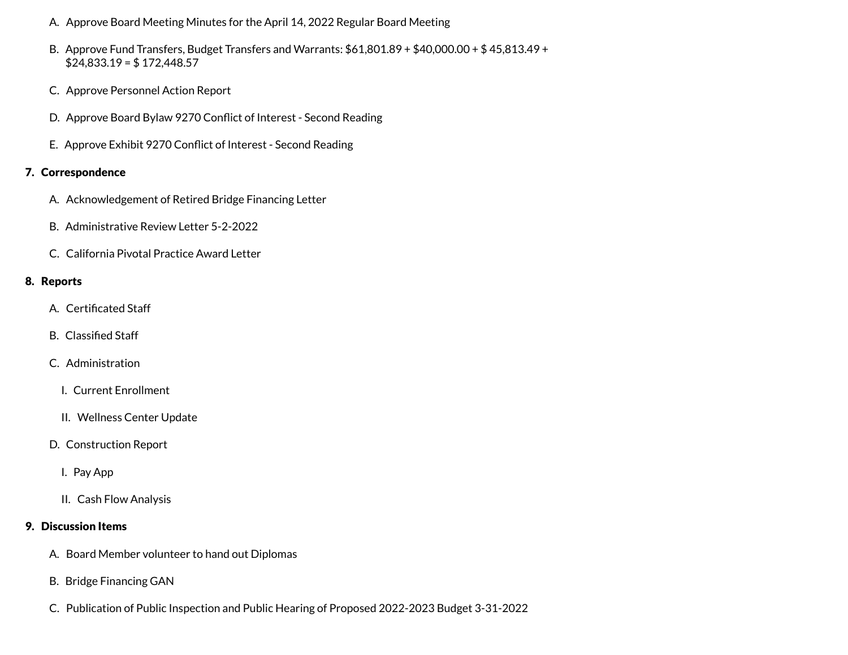- A. Approve Board Meeting Minutes for the April 14, 2022 Regular Board Meeting
- B. Approve Fund Transfers, Budget Transfers and Warrants: \$61,801.89 + \$40,000.00 + \$ 45,813.49 +  $$24,833.19 = $172,448.57$
- C. Approve Personnel Action Report
- D. Approve Board Bylaw 9270 Conflict of Interest Second Reading
- E. Approve Exhibit 9270 Conflict of Interest Second Reading

# 7. Correspondence

- A. Acknowledgement of Retired Bridge Financing Letter
- B. Administrative Review Letter 5-2-2022
- C. California Pivotal Practice Award Letter

# 8. Reports

- A. Certificated Staff
- B. Classified Staff
- C. Administration
	- I. Current Enrollment
	- II. Wellness Center Update
- D. Construction Report
	- I. Pay App
	- II. Cash Flow Analysis

# 9. Discussion Items

- A. Board Member volunteer to hand out Diplomas
- B. Bridge Financing GAN
- C. Publication of Public Inspection and Public Hearing of Proposed 2022-2023 Budget 3-31-2022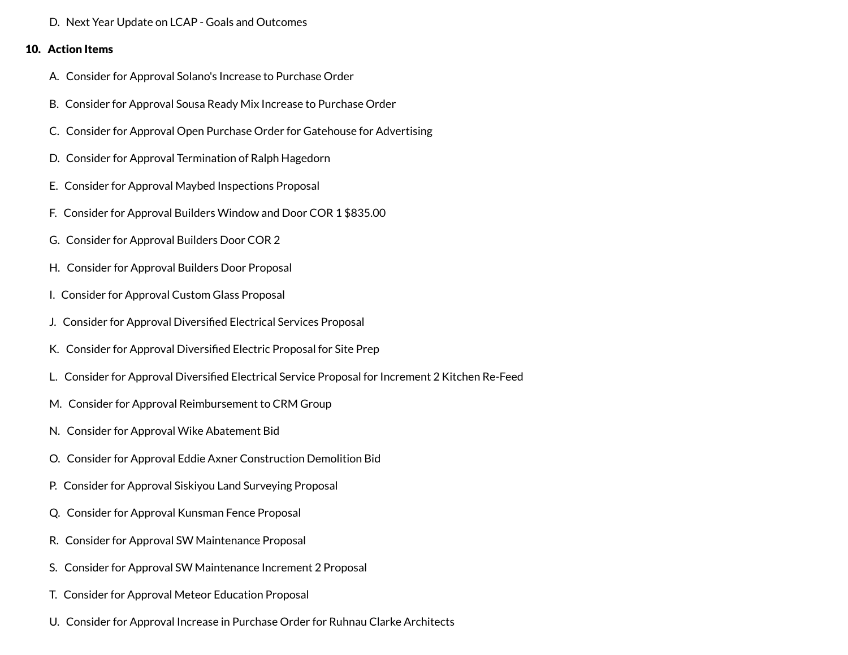D. Next Year Update on LCAP - Goals and Outcomes

# 10. Action Items

- A. Consider for Approval Solano's Increase to Purchase Order
- B. Consider for Approval Sousa Ready Mix Increase to Purchase Order
- C. Consider for Approval Open Purchase Order for Gatehouse for Advertising
- D. Consider for Approval Termination of Ralph Hagedorn
- E. Consider for Approval Maybed Inspections Proposal
- F. Consider for Approval Builders Window and Door COR 1 \$835.00
- G. Consider for Approval Builders Door COR 2
- H. Consider for Approval Builders Door Proposal
- I. Consider for Approval Custom Glass Proposal
- J. Consider for Approval Diversified Electrical Services Proposal
- K. Consider for Approval Diversified Electric Proposal for Site Prep
- L. Consider for Approval Diversified Electrical Service Proposal for Increment 2 Kitchen Re-Feed
- M. Consider for Approval Reimbursement to CRM Group
- N. Consider for Approval Wike Abatement Bid
- O. Consider for Approval Eddie Axner Construction Demolition Bid
- P. Consider for Approval Siskiyou Land Surveying Proposal
- Q. Consider for Approval Kunsman Fence Proposal
- R. Consider for Approval SW Maintenance Proposal
- S. Consider for Approval SW Maintenance Increment 2 Proposal
- T. Consider for Approval Meteor Education Proposal
- U. Consider for Approval Increase in Purchase Order for Ruhnau Clarke Architects